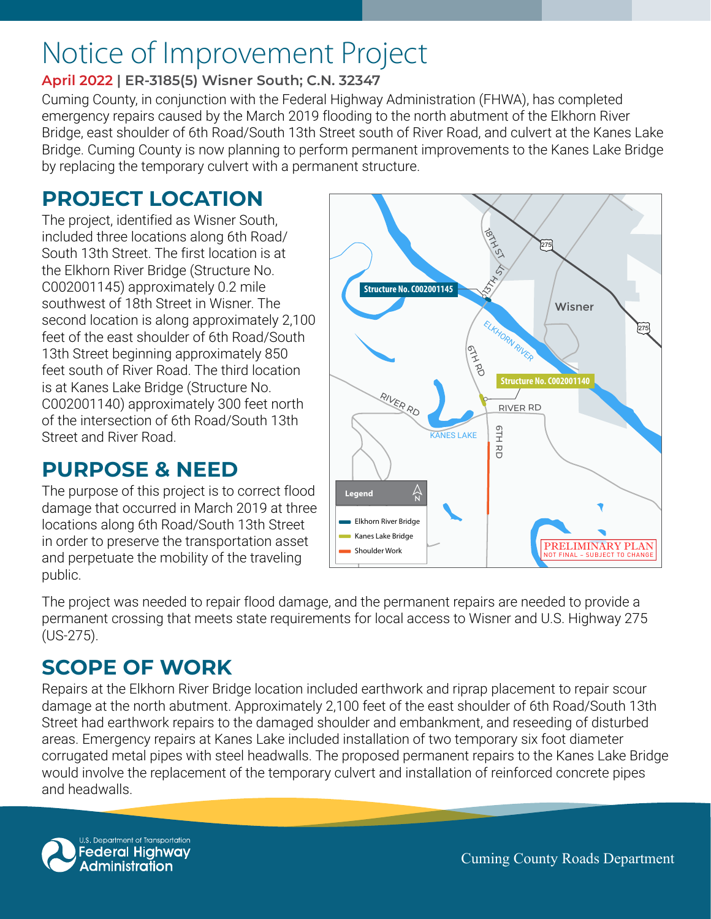# Notice of Improvement Project

#### **April 2022 | ER-3185(5) Wisner South; C.N. 32347**

**Cuming County, in conjunction with the Federal Highway Administration (FHWA), has completed** emergency repairs caused by the March 2019 flooding to the north abutment of the Elkhorn River Bridge, east shoulder of 6th Road/South 13th Street south of River Road, and culvert at the Kanes Lake Bridge. Cuming County is now planning to perform permanent improvements to the Kanes Lake Bridge by replacing the temporary culvert with a permanent structure.

# **PROJECT LOCATION**

The project, identified as Wisner South, included three locations along 6th Road/ South 13th Street. The first location is at the Elkhorn River Bridge (Structure No. C002001145) approximately 0.2 mile southwest of 18th Street in Wisner. The second location is along approximately 2,100 feet of the east shoulder of 6th Road/South 13th Street beginning approximately 850 feet south of River Road. The third location is at Kanes Lake Bridge (Structure No. C002001140) approximately 300 feet north of the intersection of 6th Road/South 13th Street and River Road.

# **PURPOSE & NEED**

The purpose of this project is to correct flood damage that occurred in March 2019 at three locations along 6th Road/South 13th Street in order to preserve the transportation asset and perpetuate the mobility of the traveling  $\begin{bmatrix} 1 \end{bmatrix}$ public.



The project was needed to repair flood damage, and the permanent repairs are needed to provide a permanent crossing that meets state requirements for local access to Wisner and U.S. Highway 275 (US-275).

## **SCOPE OF WORK**

Repairs at the Elkhorn River Bridge location included earthwork and riprap placement to repair scour damage at the north abutment. Approximately 2,100 feet of the east shoulder of 6th Road/South 13th Street had earthwork repairs to the damaged shoulder and embankment, and reseeding of disturbed areas. Emergency repairs at Kanes Lake included installation of two temporary six foot diameter corrugated metal pipes with steel headwalls. The proposed permanent repairs to the Kanes Lake Bridge would involve the replacement of the temporary culvert and installation of reinforced concrete pipes and headwalls.